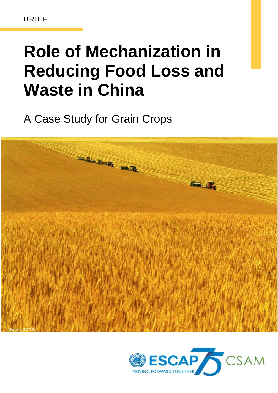# **Role of Mechanization in Reducing Food Loss and Waste in China**

A Case Study for Grain Crops



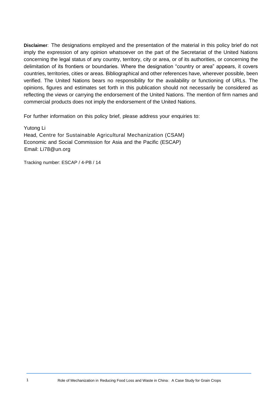**Disclaimer**: The designations employed and the presentation of the material in this policy brief do not imply the expression of any opinion whatsoever on the part of the Secretariat of the United Nations concerning the legal status of any country, territory, city or area, or of its authorities, or concerning the delimitation of its frontiers or boundaries. Where the designation "country or area" appears, it covers countries, territories, cities or areas. Bibliographical and other references have, wherever possible, been verified. The United Nations bears no responsibility for the availability or functioning of URLs. The opinions, figures and estimates set forth in this publication should not necessarily be considered as reflecting the views or carrying the endorsement of the United Nations. The mention of firm names and commercial products does not imply the endorsement of the United Nations.

For further information on this policy brief, please address your enquiries to:

Yutong Li Head, Centre for Sustainable Agricultural Mechanization (CSAM) Economic and Social Commission for Asia and the Pacific (ESCAP) Email: Li78@un.org

Tracking number: ESCAP / 4-PB / 14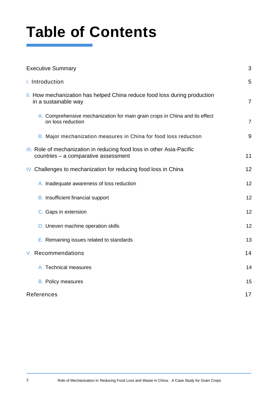# **Table of Contents**

| <b>Executive Summary</b>                                                                                       | 3              |
|----------------------------------------------------------------------------------------------------------------|----------------|
| I. Introduction                                                                                                | 5              |
| II. How mechanization has helped China reduce food loss during production<br>in a sustainable way              | $\overline{7}$ |
| A. Comprehensive mechanization for main grain crops in China and its effect<br>on loss reduction               | $\overline{7}$ |
| B. Major mechanization measures in China for food loss reduction                                               | 9              |
| III. Role of mechanization in reducing food loss in other Asia-Pacific<br>countries - a comparative assessment | 11             |
| IV. Challenges to mechanization for reducing food loss in China                                                | 12             |
| A. Inadequate awareness of loss reduction                                                                      | 12             |
| <b>B.</b> Insufficient financial support                                                                       | 12             |
| C. Gaps in extension                                                                                           | 12             |
| D. Uneven machine operation skills                                                                             | 12             |
| E. Remaining issues related to standards                                                                       | 13             |
| V. Recommendations                                                                                             | 14             |
| A. Technical measures                                                                                          | 14             |
| <b>B.</b> Policy measures                                                                                      | 15             |
| References                                                                                                     | 17             |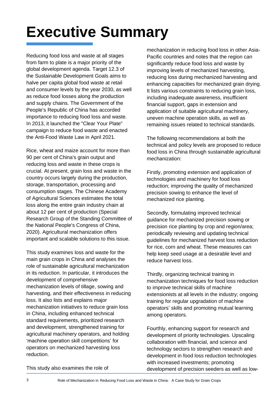# <span id="page-3-0"></span>**Executive Summary**

Reducing food loss and waste at all stages from farm to plate is a major priority of the global development agenda. Target 12.3 of the Sustainable Development Goals aims to halve per capita global food waste at retail and consumer levels by the year 2030, as well as reduce food losses along the production and supply chains. The Government of the People's Republic of China has accorded importance to reducing food loss and waste. In 2013, it launched the "Clear Your Plate" campaign to reduce food waste and enacted the Anti-Food Waste Law in April 2021.

Rice, wheat and maize account for more than 90 per cent of China's grain output and reducing loss and waste in these crops is crucial. At present, grain loss and waste in the country occurs largely during the production, storage, transportation, processing and consumption stages. The Chinese Academy of Agricultural Sciences estimates the total loss along the entire grain industry chain at about 12 per cent of production (Special Research Group of the Standing Committee of the National People's Congress of China, 2020). Agricultural mechanization offers important and scalable solutions to this issue.

This study examines loss and waste for the main grain crops in China and analyses the role of sustainable agricultural mechanization in its reduction. In particular, it introduces the development of comprehensive mechanization levels of tillage, sowing and harvesting, and their effectiveness in reducing loss. It also lists and explains major mechanization initiatives to reduce grain loss in China, including enhanced technical standard requirements, prioritized research and development, strengthened training for agricultural machinery operators, and holding 'machine operation skill competitions' for operators on mechanized harvesting loss reduction.

mechanization in reducing food loss in other Asia-Pacific countries and notes that the region can significantly reduce food loss and waste by improving levels of mechanized harvesting, reducing loss during mechanized harvesting and enhancing capacities for mechanized grain drying. It lists various constraints to reducing grain loss, including inadequate awareness, insufficient financial support, gaps in extension and application of suitable agricultural machinery, uneven machine operation skills, as well as remaining issues related to technical standards.

The following recommendations at both the technical and policy levels are proposed to reduce food loss in China through sustainable agricultural mechanization:

Firstly, promoting extension and application of technologies and machinery for food loss reduction; improving the quality of mechanized precision sowing to enhance the level of mechanized rice planting.

Secondly, formulating improved technical guidance for mechanized precision sowing or precision rice planting by crop and region/area; periodically reviewing and updating technical guidelines for mechanized harvest loss reduction for rice, corn and wheat. These measures can help keep seed usage at a desirable level and reduce harvest loss.

Thirdly, organizing technical training in mechanization techniques for food loss reduction to improve technical skills of machine extensionists at all levels in the industry; ongoing training for regular upgradation of machine operators' skills and promoting mutual learning among operators.

Fourthly, enhancing support for research and development of priority technologies. Upscaling collaboration with financial, and science and technology sectors to strengthen research and development in food loss reduction technologies with increased investments; promoting development of precision seeders as well as low-

This study also examines the role of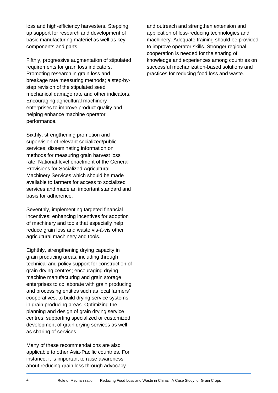loss and high-efficiency harvesters. Stepping up support for research and development of basic manufacturing materiel as well as key components and parts.

Fifthly, progressive augmentation of stipulated requirements for grain loss indicators. Promoting research in grain loss and breakage rate measuring methods; a step-bystep revision of the stipulated seed mechanical damage rate and other indicators. Encouraging agricultural machinery enterprises to improve product quality and helping enhance machine operator performance.

Sixthly, strengthening promotion and supervision of relevant socialized/public services; disseminating information on methods for measuring grain harvest loss rate. National-level enactment of the General Provisions for Socialized Agricultural Machinery Services which should be made available to farmers for access to socialized services and made an important standard and basis for adherence.

Seventhly, implementing targeted financial incentives; enhancing incentives for adoption of machinery and tools that especially help reduce grain loss and waste vis-à-vis other agricultural machinery and tools.

Eighthly, strengthening drying capacity in grain producing areas, including through technical and policy support for construction of grain drying centres; encouraging drying machine manufacturing and grain storage enterprises to collaborate with grain producing and processing entities such as local farmers' cooperatives, to build drying service systems in grain producing areas. Optimizing the planning and design of grain drying service centres; supporting specialized or customized development of grain drying services as well as sharing of services.

Many of these recommendations are also applicable to other Asia-Pacific countries. For instance, it is important to raise awareness about reducing grain loss through advocacy

and outreach and strengthen extension and application of loss-reducing technologies and machinery. Adequate training should be provided to improve operator skills. Stronger regional cooperation is needed for the sharing of knowledge and experiences among countries on successful mechanization-based solutions and practices for reducing food loss and waste.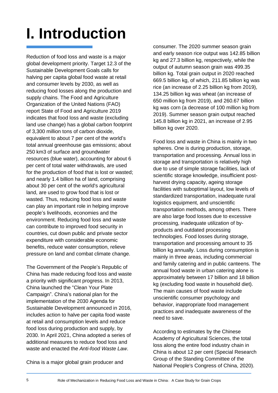# <span id="page-5-0"></span>**I. Introduction**

Reduction of food loss and waste is a major global development priority. Target 12.3 of the Sustainable Development Goals calls for halving per capita global food waste at retail and consumer levels by 2030, as well as reducing food losses along the production and supply chains. The Food and Agriculture Organization of the United Nations (FAO) report State of Food and Agriculture 2019 indicates that food loss and waste (excluding land use change) has a global carbon footprint of 3,300 million tons of carbon dioxide, equivalent to about 7 per cent of the world's total annual greenhouse gas emissions; about 250 km3 of surface and groundwater resources (blue water), accounting for about 6 per cent of total water withdrawals, are used for the production of food that is lost or wasted; and nearly 1.4 billion ha of land, comprising about 30 per cent of the world's agricultural land, are used to grow food that is lost or wasted. Thus, reducing food loss and waste can play an important role in helping improve people's livelihoods, economies and the environment. Reducing food loss and waste can contribute to improved food security in countries, cut down public and private sector expenditure with considerable economic benefits, reduce water consumption, relieve pressure on land and combat climate change.

The Government of the People's Republic of China has made reducing food loss and waste a priority with significant progress. In 2013, China launched the "Clean Your Plate Campaign". China's national plan for the implementation of the 2030 Agenda for Sustainable Development announced in 2016, includes action to halve per capita food waste at retail and consumption levels and reduce food loss during production and supply, by 2030. In April 2021, China adopted a series of additional measures to reduce food loss and waste and enacted the *Anti-food Waste Law*.

China is a major global grain producer and

consumer. The 2020 summer season grain and early season rice output was 142.85 billion kg and 27.3 billion kg, respectively, while the output of autumn season grain was 499.35 billion kg. Total grain output in 2020 reached 669.5 billion kg, of which, 211.85 billion kg was rice (an increase of 2.25 billion kg from 2019), 134.25 billion kg was wheat (an increase of 650 million kg from 2019), and 260.67 billion kg was corn (a decrease of 100 million kg from 2019). Summer season grain output reached 145.8 billion kg in 2021, an increase of 2.95 billion kg over 2020.

Food loss and waste in China is mainly in two spheres. One is during production, storage, transportation and processing. Annual loss in storage and transportation is relatively high due to use of simple storage facilities, lack of scientific storage knowledge, insufficient postharvest drying capacity, ageing storage facilities with suboptimal layout, low levels of standardized transportation, inadequate rural logistics equipment, and unscientific transportation methods, among others. There are also large food losses due to excessive processing, inadequate utilization of byproducts and outdated processing technologies. Food losses during storage, transportation and processing amount to 35 billion kg annually. Loss during consumption is mainly in three areas, including commercial and family catering and in public canteens. The annual food waste in urban catering alone is approximately between 17 billion and 18 billion kg (excluding food waste in household diet). The main causes of food waste include unscientific consumer psychology and behavior, inappropriate food management practices and inadequate awareness of the need to save.

According to estimates by the Chinese Academy of Agricultural Sciences, the total loss along the entire food industry chain in China is about 12 per cent (Special Research Group of the Standing Committee of the National People's Congress of China, 2020).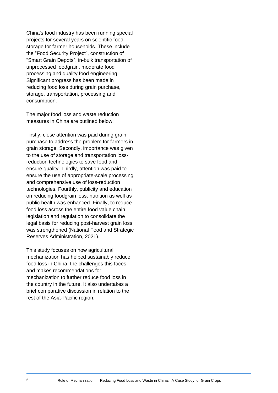China's food industry has been running special projects for several years on scientific food storage for farmer households. These include the "Food Security Project", construction of "Smart Grain Depots", in-bulk transportation of unprocessed foodgrain, moderate food processing and quality food engineering. Significant progress has been made in reducing food loss during grain purchase, storage, transportation, processing and consumption.

The major food loss and waste reduction measures in China are outlined below:

Firstly, close attention was paid during grain purchase to address the problem for farmers in grain storage. Secondly, importance was given to the use of storage and transportation lossreduction technologies to save food and ensure quality. Thirdly, attention was paid to ensure the use of appropriate-scale processing and comprehensive use of loss-reduction technologies. Fourthly, publicity and education on reducing foodgrain loss, nutrition as well as public health was enhanced. Finally, to reduce food loss across the entire food value chain, legislation and regulation to consolidate the legal basis for reducing post-harvest grain loss was strengthened (National Food and Strategic Reserves Administration, 2021).

This study focuses on how agricultural mechanization has helped sustainably reduce food loss in China, the challenges this faces and makes recommendations for mechanization to further reduce food loss in the country in the future. It also undertakes a brief comparative discussion in relation to the rest of the Asia-Pacific region.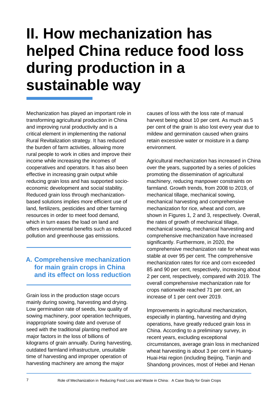# <span id="page-7-0"></span>**II. How mechanization has helped China reduce food loss during production in a sustainable way**

Mechanization has played an important role in transforming agricultural production in China and improving rural productivity and is a critical element in implementing the national Rural Revitalization strategy. It has reduced the burden of farm activities, allowing more rural people to work in cities and improve their income while increasing the incomes of cooperatives and operators. It has also been effective in increasing grain output while reducing grain loss and has supported socioeconomic development and social stability. Reduced grain loss through mechanizationbased solutions implies more efficient use of land, fertilizers, pesticides and other farming resources in order to meet food demand, which in turn eases the load on land and offers environmental benefits such as reduced pollution and greenhouse gas emissions.

# **A. Comprehensive mechanization for main grain crops in China and its effect on loss reduction**

Grain loss in the production stage occurs mainly during sowing, harvesting and drying. Low germination rate of seeds, low quality of sowing machinery, poor operation techniques, inappropriate sowing date and overuse of seed with the traditional planting method are major factors in the loss of billions of kilograms of grain annually. During harvesting, outdated farmland infrastructure, unsuitable time of harvesting and improper operation of harvesting machinery are among the major

causes of loss with the loss rate of manual harvest being about 10 per cent. As much as 5 per cent of the grain is also lost every year due to mildew and germination caused when grains retain excessive water or moisture in a damp environment.

Agricultural mechanization has increased in China over the years, supported by a series of policies promoting the dissemination of agricultural machinery, reducing manpower constraints on farmland. Growth trends, from 2008 to 2019, of mechanical tillage, mechanical sowing, mechanical harvesting and comprehensive mechanization for rice, wheat and corn, are shown in Figures 1, 2 and 3, respectively. Overall, the rates of growth of mechanical tillage, mechanical sowing, mechanical harvesting and comprehensive mechanization have increased significantly. Furthermore, in 2020, the comprehensive mechanization rate for wheat was stable at over 95 per cent. The comprehensive mechanization rates for rice and corn exceeded 85 and 90 per cent, respectively, increasing about 2 per cent, respectively, compared with 2019. The overall comprehensive mechanization rate for crops nationwide reached 71 per cent, an increase of 1 per cent over 2019.

Improvements in agricultural mechanization, especially in planting, harvesting and drying operations, have greatly reduced grain loss in China. According to a preliminary survey, in recent years, excluding exceptional circumstances, average grain loss in mechanized wheat harvesting is about 3 per cent in Huang-Huai-Hai region (including Beijing, Tianjin and Shandong provinces, most of Hebei and Henan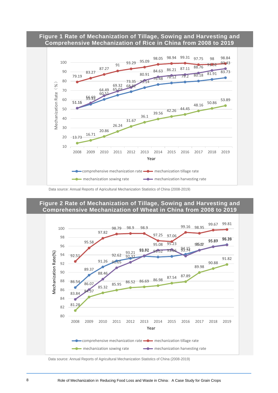#### **Figure 1 Rate of Mechanization of Tillage, Sowing and Harvesting and Comprehensive Mechanization of Rice in China from 2008 to 2019**



Data source: Annual Reports of Agricultural Mechanization Statistics of China (2008-2019)

### **Figure 2 Rate of Mechanization of Tillage, Sowing and Harvesting and Comprehensive Mechanization of Wheat in China from 2008 to 2019**



Data source: Annual Reports of Agricultural Mechanization Statistics of China (2008-2019)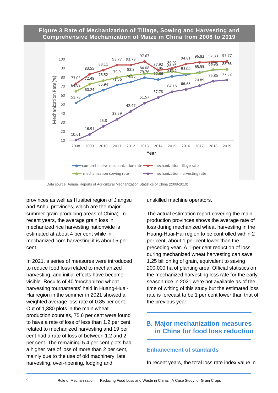#### **Figure 3 Rate of Mechanization of Tillage, Sowing and Harvesting and Comprehensive Mechanization of Maize in China from 2008 to 2019**



Data source: Annual Reports of Agricultural Mechanization Statistics of China (2008-2019)

provinces as well as Huaibei region of Jiangsu and Anhui provinces, which are the major summer grain-producing areas of China). In recent years, the average grain loss in mechanized rice harvesting nationwide is estimated at about 4 per cent while in mechanized corn harvesting it is about 5 per cent.

In 2021, a series of measures were introduced to reduce food loss related to mechanized harvesting, and initial effects have become visible. Results of 40 'mechanized wheat harvesting tournaments' held in Huang-Huai-Hai region in the summer in 2021 showed a weighted average loss rate of 0.85 per cent. Out of 1,380 plots in the main wheat production counties, 75.6 per cent were found to have a rate of loss of less than 1.2 per cent related to mechanized harvesting and 19 per cent had a rate of loss of between 1.2 and 2 per cent. The remaining 5.4 per cent plots had a higher rate of loss of more than 2 per cent, mainly due to the use of old machinery, late harvesting, over-ripening, lodging and

unskilled machine operators.

The actual estimation report covering the main production provinces shows the average rate of loss during mechanized wheat harvesting in the Huang-Huai-Hai region to be controlled within 2 per cent, about 1 per cent lower than the preceding year. A 1-per cent reduction of loss during mechanized wheat harvesting can save 1.25 billion kg of grain, equivalent to saving 200,000 ha of planting area. Official statistics on the mechanized harvesting loss rate for the early season rice in 2021 were not available as of the time of writing of this study but the estimated loss rate is forecast to be 1 per cent lower than that of the previous year.

### <span id="page-9-0"></span>**B. Major mechanization measures in China for food loss reduction**

#### **Enhancement of standards**

In recent years, the total loss rate index value in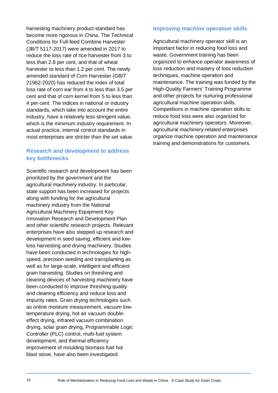harvesting machinery product standard has become more rigorous in China. The Technical Conditions for Full-feed Combine Harvester (JB/T 5117-2017) were amended in 2017 to reduce the loss rate of rice harvester from 3 to less than 2.8 per cent, and that of wheat harvester to less than 1.2 per cent. The newly amended standard of Corn Harvester (GB/T 21962-2020) has reduced the index of total loss rate of corn ear from 4 to less than 3.5 per cent and that of corn kernel from 5 to less than 4 per cent. The indices in national or industry standards, which take into account the entire industry, have a relatively less stringent value, which is the minimum industry requirement. In actual practice, internal control standards in most enterprises are stricter than the set value.

### **Research and development to address key bottlenecks**

Scientific research and development has been prioritized by the government and the agricultural machinery industry. In particular, state support has been increased for projects along with funding for the agricultural machinery industry from the National Agricultural Machinery Equipment Key Innovation Research and Development Plan and other scientific research projects. Relevant enterprises have also stepped up research and development in seed saving, efficient and lowloss harvesting and drying machinery. Studies have been conducted in technologies for highspeed, precision seeding and transplanting as well as for large-scale, intelligent and efficient grain harvesting. Studies on threshing and cleaning devices of harvesting machinery have been conducted to improve threshing quality and cleaning efficiency and reduce loss and impurity rates. Grain drying technologies such as online moisture measurement, vacuum lowtemperature drying, hot air vacuum doubleeffect drying, infrared vacuum combination drying, solar grain drying, Programmable Logic Controller (PLC) control, multi-fuel system development, and thermal efficiency improvement of moulding biomass fuel hot blast stove, have also been investigated.

#### **Improving machine operation skills**

Agricultural machinery operator skill is an important factor in reducing food loss and waste. Government training has been organized to enhance operator awareness of loss reduction and mastery of loss reduction techniques, machine operation and maintenance. The training was funded by the High-Quality Farmers' Training Programme and other projects for nurturing professional agricultural machine operation skills. Competitions in machine operation skills to reduce food loss were also organized for agricultural machinery operators. Moreover, agricultural machinery-related enterprises organize machine operation and maintenance training and demonstrations for customers.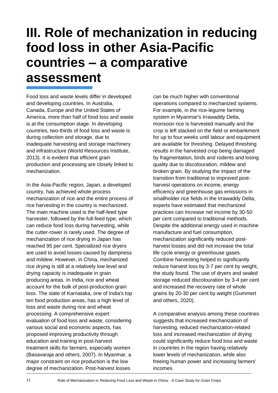# **III. Role of mechanization in reducing food loss in other Asia-Pacific countries – a comparative assessment**

Food loss and waste levels differ in developed and developing countries. In Australia, Canada, Europe and the United States of America, more than half of food loss and waste is at the consumption stage. In developing countries, two-thirds of food loss and waste is during collection and storage, due to inadequate harvesting and storage machinery and infrastructure (World Resources Institute, 2013). It is evident that efficient grain production and processing are closely linked to mechanization.

In the Asia-Pacific region, Japan, a developed country, has achieved whole process mechanization of rice and the entire process of rice harvesting in the country is mechanized. The main machine used is the half-feed type harvester, followed by the full-feed type, which can reduce food loss during harvesting, while the cutter-rower is rarely used. The degree of mechanization of rice drying in Japan has reached 95 per cent. Specialized rice dryers are used to avoid losses caused by dampness and mildew. However, in China, mechanized rice drying is still at a relatively low level and drying capacity is inadequate in grain producing areas. In India, rice and wheat account for the bulk of post-production grain loss. The state of Karnataka, one of India's top ten food production areas, has a high level of loss and waste during rice and wheat processing. A comprehensive expert evaluation of food loss and waste, considering various social and economic aspects, has proposed improving productivity through education and training in post-harvest treatment skills for farmers, especially women (Basavaraja and others, 2007). In Myanmar, a major constraint on rice production is the low degree of mechanization. Post-harvest losses

can be much higher with conventional operations compared to mechanized systems. For example, in the rice-legume farming system in Myanmar's Irrawaddy Delta, monsoon rice is harvested manually and the crop is left stacked on the field or embankment for up to four weeks until labour and equipment are available for threshing. Delayed threshing results in the harvested crop being damaged by fragmentation, birds and rodents and losing quality due to discolouration, mildew and broken grain. By studying the impact of the transition from traditional to improved postharvest operations on income, energy efficiency and greenhouse gas emissions in smallholder rice fields in the Irrawaddy Delta, experts have estimated that mechanized practices can increase net income by 30-50 per cent compared to traditional methods. Despite the additional energy used in machine manufacture and fuel consumption, mechanization significantly reduced postharvest losses and did not increase the total life cycle energy or greenhouse gases. Combine harvesting helped to significantly reduce harvest loss by 3-7 per cent by weight, the study found. The use of dryers and sealed storage reduced discolouration by 3-4 per cent and increased the recovery rate of whole grains by 20-30 per cent by weight (Gummert and others, 2020).

A comparative analysis among these countries suggests that increased mechanization of harvesting, reduced mechanization-related loss and increased mechanization of drying could significantly reduce food loss and waste in countries in the region having relatively lower levels of mechanization, while also freeing human power and increasing farmers' incomes.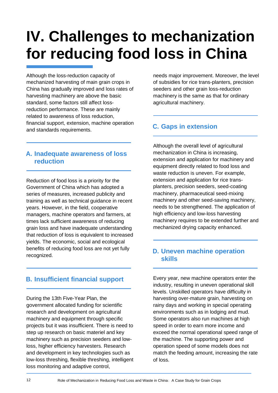# **IV. Challenges to mechanization for reducing food loss in China**

Although the loss-reduction capacity of mechanized harvesting of main grain crops in China has gradually improved and loss rates of harvesting machinery are above the basic standard, some factors still affect lossreduction performance. These are mainly related to awareness of loss reduction, financial support, extension, machine operation and standards requirements.

# **A. Inadequate awareness of loss reduction**

Reduction of food loss is a priority for the Government of China which has adopted a series of measures, increased publicity and training as well as technical guidance in recent years. However, in the field, cooperative managers, machine operators and farmers, at times lack sufficient awareness of reducing grain loss and have inadequate understanding that reduction of loss is equivalent to increased yields. The economic, social and ecological benefits of reducing food loss are not yet fully recognized.

# **B. Insufficient financial support**

During the 13th Five-Year Plan, the government allocated funding for scientific research and development on agricultural machinery and equipment through specific projects but it was insufficient. There is need to step up research on basic materiel and key machinery such as precision seeders and lowloss, higher efficiency harvesters. Research and development in key technologies such as low-loss threshing, flexible threshing, intelligent loss monitoring and adaptive control,

needs major improvement. Moreover, the level of subsidies for rice trans-planters, precision seeders and other grain loss-reduction machinery is the same as that for ordinary agricultural machinery.

# **C. Gaps in extension**

Although the overall level of agricultural mechanization in China is increasing, extension and application for machinery and equipment directly related to food loss and waste reduction is uneven. For example, extension and application for rice transplanters, precision seeders, seed-coating machinery, pharmaceutical seed-mixing machinery and other seed-saving machinery, needs to be strengthened. The application of high efficiency and low-loss harvesting machinery requires to be extended further and mechanized drying capacity enhanced.

## **D. Uneven machine operation skills**

Every year, new machine operators enter the industry, resulting in uneven operational skill levels. Unskilled operators have difficulty in harvesting over-mature grain, harvesting on rainy days and working in special operating environments such as in lodging and mud. Some operators also run machines at high speed in order to earn more income and exceed the normal operational speed range of the machine. The supporting power and operation speed of some models does not match the feeding amount, increasing the rate of loss.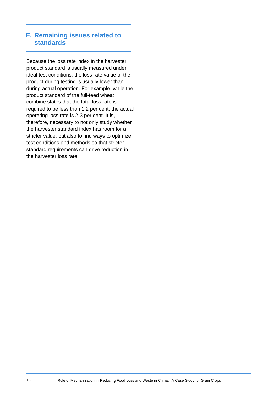### **E. Remaining issues related to standards**

Because the loss rate index in the harvester product standard is usually measured under ideal test conditions, the loss rate value of the product during testing is usually lower than during actual operation. For example, while the product standard of the full-feed wheat combine states that the total loss rate is required to be less than 1.2 per cent, the actual operating loss rate is 2-3 per cent. It is, therefore, necessary to not only study whether the harvester standard index has room for a stricter value, but also to find ways to optimize test conditions and methods so that stricter standard requirements can drive reduction in the harvester loss rate.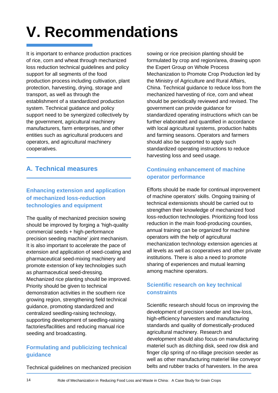# **V. Recommendations**

It is important to enhance production practices of rice, corn and wheat through mechanized loss reduction technical guidelines and policy support for all segments of the food production process including cultivation, plant protection, harvesting, drying, storage and transport, as well as through the establishment of a standardized production system. Technical guidance and policy support need to be synergized collectively by the government, agricultural machinery manufacturers, farm enterprises, and other entities such as agricultural producers and operators, and agricultural machinery cooperatives.

# **A. Technical measures**

## **Enhancing extension and application of mechanized loss-reduction technologies and equipment**

The quality of mechanized precision sowing should be improved by forging a 'high-quality commercial seeds + high-performance precision seeding machine' joint mechanism. It is also important to accelerate the pace of extension and application of seed-coating and pharmaceutical seed-mixing machinery and promote extension of key technologies such as pharmaceutical seed-dressing. Mechanized rice planting should be improved. Priority should be given to technical demonstration activities in the southern rice growing region, strengthening field technical guidance, promoting standardized and centralized seedling-raising technology, supporting development of seedling-raising factories/facilities and reducing manual rice seeding and broadcasting.

## **Formulating and publicizing technical guidance**

Technical guidelines on mechanized precision

sowing or rice precision planting should be formulated by crop and region/area, drawing upon the Expert Group on Whole Process Mechanization to Promote Crop Production led by the Ministry of Agriculture and Rural Affairs, China. Technical guidance to reduce loss from the mechanized harvesting of rice, corn and wheat should be periodically reviewed and revised. The government can provide guidance for standardized operating instructions which can be further elaborated and quantified in accordance with local agricultural systems, production habits and farming seasons. Operators and farmers should also be supported to apply such standardized operating instructions to reduce harvesting loss and seed usage.

### **Continuing enhancement of machine operator performance**

Efforts should be made for continual improvement of machine operators' skills. Ongoing training of technical extensionists should be carried out to strengthen their knowledge of mechanized food loss-reduction technologies. Prioritizing food loss reduction in the main food-producing counties, annual training can be organized for machine operators with the help of agricultural mechanization technology extension agencies at all levels as well as cooperatives and other private institutions. There is also a need to promote sharing of experiences and mutual learning among machine operators.

### **Scientific research on key technical constraints**

Scientific research should focus on improving the development of precision seeder and low-loss, high-efficiency harvesters and manufacturing standards and quality of domestically-produced agricultural machinery. Research and development should also focus on manufacturing materiel such as ditching disk, seed row disk and finger clip spring of no-tillage precision seeder as well as other manufacturing materiel like conveyor belts and rubber tracks of harvesters. In the area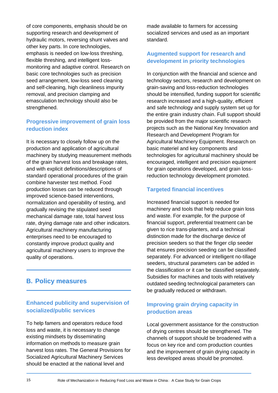of core components, emphasis should be on supporting research and development of hydraulic motors, reversing shunt valves and other key parts. In core technologies, emphasis is needed on low-loss threshing, flexible threshing, and intelligent lossmonitoring and adaptive control. Research on basic core technologies such as precision seed arrangement, low-loss seed cleaning and self-cleaning, high cleanliness impurity removal, and precision clamping and emasculation technology should also be strengthened.

### **Progressive improvement of grain loss reduction index**

It is necessary to closely follow up on the production and application of agricultural machinery by studying measurement methods of the grain harvest loss and breakage rates, and with explicit definitions/descriptions of standard operational procedures of the grain combine harvester test method. Food production losses can be reduced through improved science-based interventions, normalization and operability of testing, and gradually revising the stipulated seed mechanical damage rate, total harvest loss rate, drying damage rate and other indicators. Agricultural machinery manufacturing enterprises need to be encouraged to constantly improve product quality and agricultural machinery users to improve the quality of operations.

### **B. Policy measures**

#### **Enhanced publicity and supervision of socialized/public services**

To help famers and operators reduce food loss and waste, it is necessary to change existing mindsets by disseminating information on methods to measure grain harvest loss rates. The General Provisions for Socialized Agricultural Machinery Services should be enacted at the national level and

made available to farmers for accessing socialized services and used as an important standard.

#### **Augmented support for research and development in priority technologies**

In conjunction with the financial and science and technology sectors, research and development on grain-saving and loss-reduction technologies should be intensified, funding support for scientific research increased and a high-quality, efficient and safe technology and supply system set up for the entire grain industry chain. Full support should be provided from the major scientific research projects such as the National Key Innovation and Research and Development Program for Agricultural Machinery Equipment. Research on basic materiel and key components and technologies for agricultural machinery should be encouraged, intelligent and precision equipment for grain operations developed, and grain lossreduction technology development promoted.

#### **Targeted financial incentives**

Increased financial support is needed for machinery and tools that help reduce grain loss and waste. For example, for the purpose of financial support, preferential treatment can be given to rice trans-planters, and a technical distinction made for the discharge device of precision seeders so that the finger clip seeder that ensures precision seeding can be classified separately. For advanced or intelligent no-tillage seeders, structural parameters can be added in the classification or it can be classified separately. Subsidies for machines and tools with relatively outdated seeding technological parameters can be gradually reduced or withdrawn.

### **Improving grain drying capacity in production areas**

Local government assistance for the construction of drying centres should be strengthened. The channels of support should be broadened with a focus on key rice and corn production counties and the improvement of grain drying capacity in less developed areas should be promoted.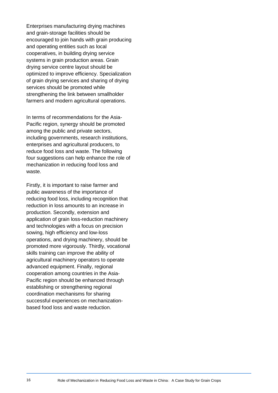Enterprises manufacturing drying machines and grain-storage facilities should be encouraged to join hands with grain producing and operating entities such as local cooperatives, in building drying service systems in grain production areas. Grain drying service centre layout should be optimized to improve efficiency. Specialization of grain drying services and sharing of drying services should be promoted while strengthening the link between smallholder farmers and modern agricultural operations.

In terms of recommendations for the Asia-Pacific region, synergy should be promoted among the public and private sectors, including governments, research institutions, enterprises and agricultural producers, to reduce food loss and waste. The following four suggestions can help enhance the role of mechanization in reducing food loss and waste.

Firstly, it is important to raise farmer and public awareness of the importance of reducing food loss, including recognition that reduction in loss amounts to an increase in production. Secondly, extension and application of grain loss-reduction machinery and technologies with a focus on precision sowing, high efficiency and low-loss operations, and drying machinery, should be promoted more vigorously. Thirdly, vocational skills training can improve the ability of agricultural machinery operators to operate advanced equipment. Finally, regional cooperation among countries in the Asia-Pacific region should be enhanced through establishing or strengthening regional coordination mechanisms for sharing successful experiences on mechanizationbased food loss and waste reduction.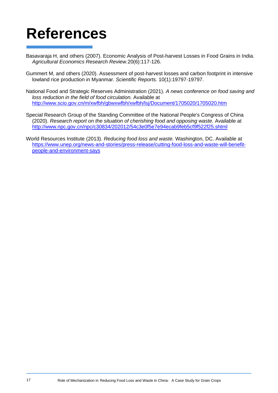# <span id="page-17-0"></span>**References**

- Basavaraja H, and others (2007). Economic Analysis of Post-harvest Losses in Food Grains in India. *Agricultural Economics Research Review.*20(6):117-126.
- Gummert M, and others (2020). Assessment of post-harvest losses and carbon footprint in intensive lowland rice production in Myanmar. *Scientific Reports.* 10(1):19797-19797.
- National Food and Strategic Reserves Administration (2021). *A news conference on food saving and loss reduction in the field of food circulation.* Available at <http://www.scio.gov.cn/m/xwfbh/gbwxwfbh/xwfbh/lsj/Document/1705020/1705020.htm>
- Special Research Group of the Standing Committee of the National People's Congress of China (2020). *Research report on the situation of cherishing food and opposing waste.* Available at <http://www.npc.gov.cn/npc/c30834/202012/54c3e0f5e7e94ecab9feb5cf9f522f25.shtml>
- World Resources Institute (2013). *Reducing food loss and waste.* Washington, DC. Available at [https://www.unep.org/news-and-stories/press-release/cutting-food-loss-and-waste-will-benefit](https://www.unep.org/news-and-stories/press-release/cutting-food-loss-and-waste-will-benefit-people-and-environment-says)[people-and-environment-says](https://www.unep.org/news-and-stories/press-release/cutting-food-loss-and-waste-will-benefit-people-and-environment-says)